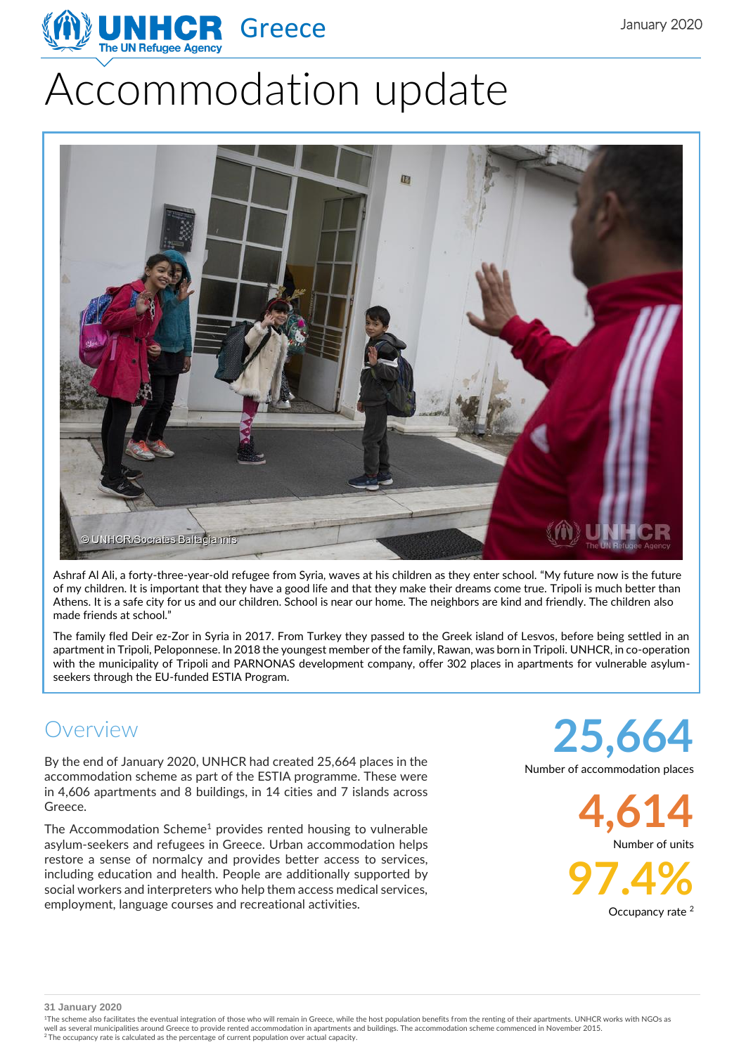

# Accommodation update



Ashraf Al Ali, a forty-three-year-old refugee from Syria, waves at his children as they enter school. "My future now is the future of my children. It is important that they have a good life and that they make their dreams come true. Tripoli is much better than Athens. It is a safe city for us and our children. School is near our home. The neighbors are kind and friendly. The children also made friends at school."

The family fled Deir ez-Zor in Syria in 2017. From Turkey they passed to the Greek island of Lesvos, before being settled in an apartment in Tripoli, Peloponnese. In 2018 the youngest member of the family, Rawan, was born in Tripoli. UNHCR, in co-operation with the municipality of Tripoli and PARNONAS development company, offer 302 places in apartments for vulnerable asylumseekers through the EU-funded ESTIA Program.

## Overview

By the end of January 2020, UNHCR had created 25,664 places in the accommodation scheme as part of the ESTIA programme. These were in 4,606 apartments and 8 buildings, in 14 cities and 7 islands across Greece.

The Accommodation Scheme<sup>1</sup> provides rented housing to vulnerable asylum-seekers and refugees in Greece. Urban accommodation helps restore a sense of normalcy and provides better access to services, including education and health. People are additionally supported by social workers and interpreters who help them access medical services, employment, language courses and recreational activities.

**25,664**

Number of accommodation places

**4,614**

Number of units

**97.4%** Occupancy rate <sup>2</sup>

**31 January 2020**

<sup>1</sup>The scheme also facilitates the eventual integration of those who will remain in Greece, while the host population benefits from the renting of their apartments. UNHCR works with NGOs as well as several municipalities around Greece to provide rented accommodation in apartments and buildings. The accommodation scheme commenced in November 2015.<br><sup>2</sup> The occupancy rate is calculated as the percentage of curre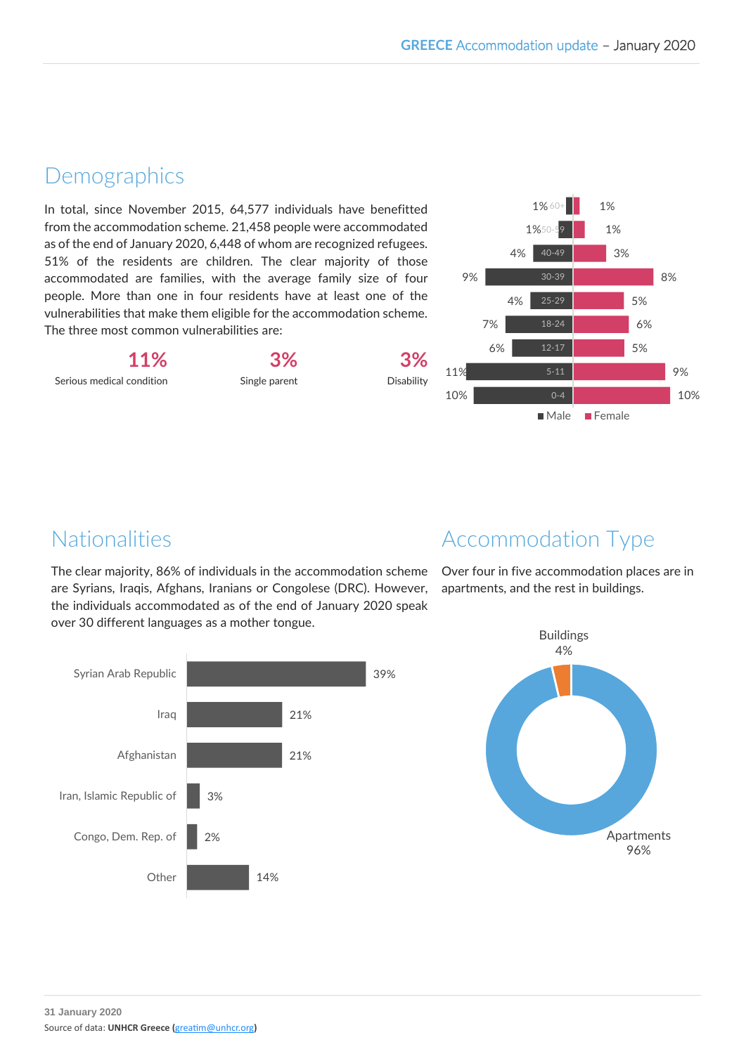#### **Demographics**

In total, since November 2015, 64,577 individuals have benefitted from the accommodation scheme. 21,458 people were accommodated as of the end of January 2020, 6,448 of whom are recognized refugees. 51% of the residents are children. The clear majority of those accommodated are families, with the average family size of four people. More than one in four residents have at least one of the vulnerabilities that make them eligible for the accommodation scheme. The three most common vulnerabilities are:

**11%** Serious medical condition

**3%** Single parent

**3%** Disability



## Nationalities

The clear majority, 86% of individuals in the accommodation scheme are Syrians, Iraqis, Afghans, Iranians or Congolese (DRC). However, the individuals accommodated as of the end of January 2020 speak over 30 different languages as a mother tongue.



## Accommodation Type

Over four in five accommodation places are in apartments, and the rest in buildings.

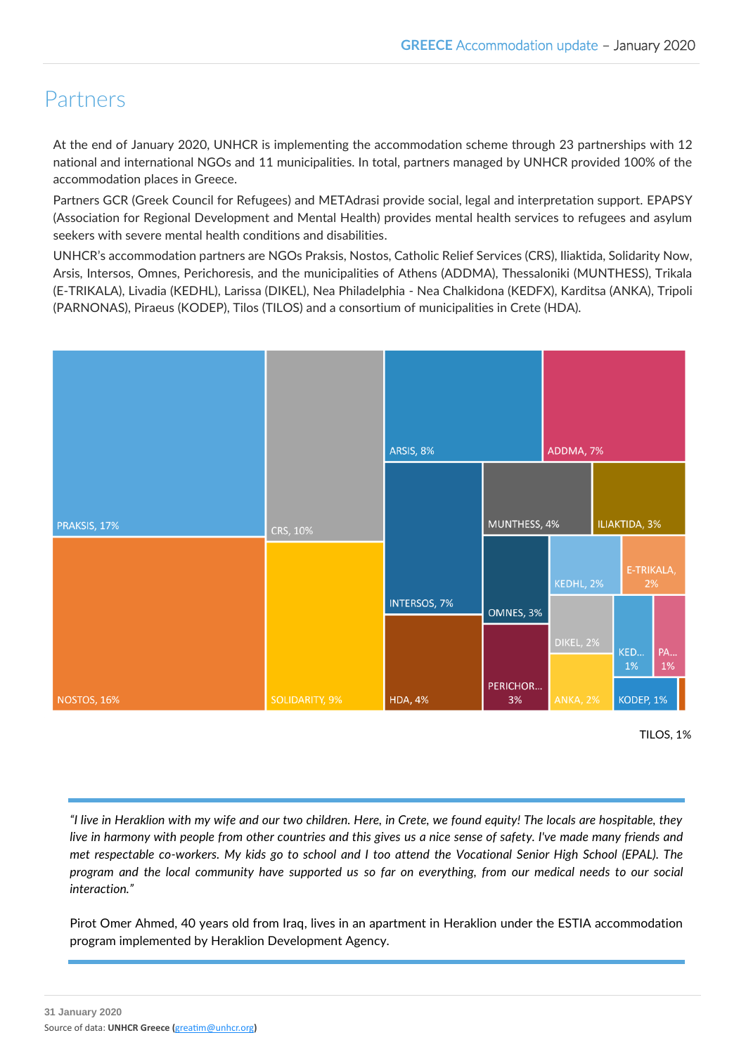#### Partners

At the end of January 2020, UNHCR is implementing the accommodation scheme through 23 partnerships with 12 national and international NGOs and 11 municipalities. In total, partners managed by UNHCR provided 100% of the accommodation places in Greece.

Partners GCR (Greek Council for Refugees) and METAdrasi provide social, legal and interpretation support. EPAPSY (Association for Regional Development and Mental Health) provides mental health services to refugees and asylum seekers with severe mental health conditions and disabilities.

UNHCR's accommodation partners are NGOs Praksis, Nostos, Catholic Relief Services (CRS), Iliaktida, Solidarity Now, Arsis, Intersos, Omnes, Perichoresis, and the municipalities of Athens (ADDMA), Thessaloniki (MUNTHESS), Trikala (E-TRIKALA), Livadia (KEDHL), Larissa (DIKEL), Nea Philadelphia - Nea Chalkidona (KEDFX), Karditsa (ANKA), Tripoli (PARNONAS), Piraeus (KODEP), Tilos (TILOS) and a consortium of municipalities in Crete (HDA).



TILOS, 1%

*"I live in Heraklion with my wife and our two children. Here, in Crete, we found equity! The locals are hospitable, they live in harmony with people from other countries and this gives us a nice sense of safety. I've made many friends and met respectable co-workers. My kids go to school and I too attend the Vocational Senior High School (EPAL). The program and the local community have supported us so far on everything, from our medical needs to our social interaction."*

Pirot Omer Ahmed, 40 years old from Iraq, lives in an apartment in Heraklion under the ESTIA accommodation program implemented by Heraklion Development Agency.